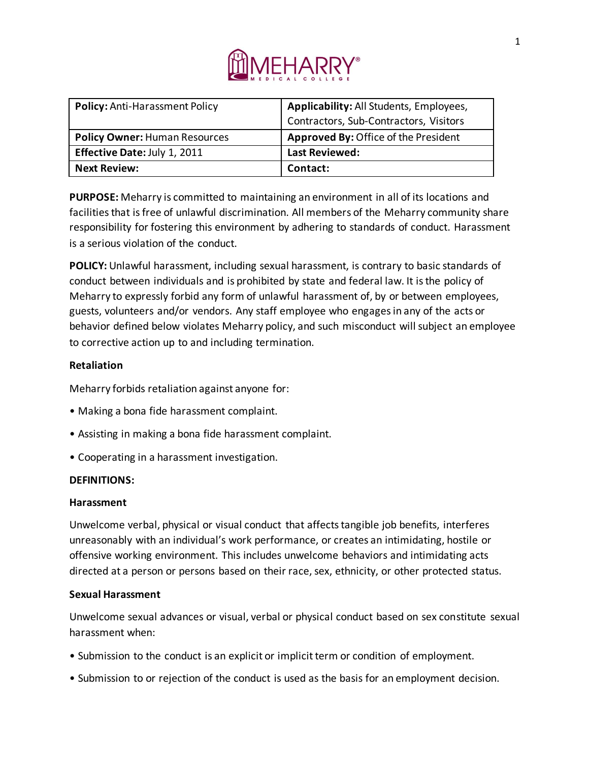

| <b>Policy: Anti-Harassment Policy</b> | Applicability: All Students, Employees,     |
|---------------------------------------|---------------------------------------------|
|                                       | Contractors, Sub-Contractors, Visitors      |
| <b>Policy Owner: Human Resources</b>  | <b>Approved By: Office of the President</b> |
| Effective Date: July 1, 2011          | <b>Last Reviewed:</b>                       |
| <b>Next Review:</b>                   | Contact:                                    |

**PURPOSE:** Meharry is committed to maintaining an environment in all of its locations and facilities that is free of unlawful discrimination. All members of the Meharry community share responsibility for fostering this environment by adhering to standards of conduct. Harassment is a serious violation of the conduct.

**POLICY:** Unlawful harassment, including sexual harassment, is contrary to basic standards of conduct between individuals and is prohibited by state and federal law. It is the policy of Meharry to expressly forbid any form of unlawful harassment of, by or between employees, guests, volunteers and/or vendors. Any staff employee who engages in any of the acts or behavior defined below violates Meharry policy, and such misconduct will subject an employee to corrective action up to and including termination.

# **Retaliation**

Meharry forbids retaliation against anyone for:

- Making a bona fide harassment complaint.
- Assisting in making a bona fide harassment complaint.
- Cooperating in a harassment investigation.

## **DEFINITIONS:**

## **Harassment**

Unwelcome verbal, physical or visual conduct that affects tangible job benefits, interferes unreasonably with an individual's work performance, or creates an intimidating, hostile or offensive working environment. This includes unwelcome behaviors and intimidating acts directed at a person or persons based on their race, sex, ethnicity, or other protected status.

## **Sexual Harassment**

Unwelcome sexual advances or visual, verbal or physical conduct based on sex constitute sexual harassment when:

- Submission to the conduct is an explicit or implicit term or condition of employment.
- Submission to or rejection of the conduct is used as the basis for an employment decision.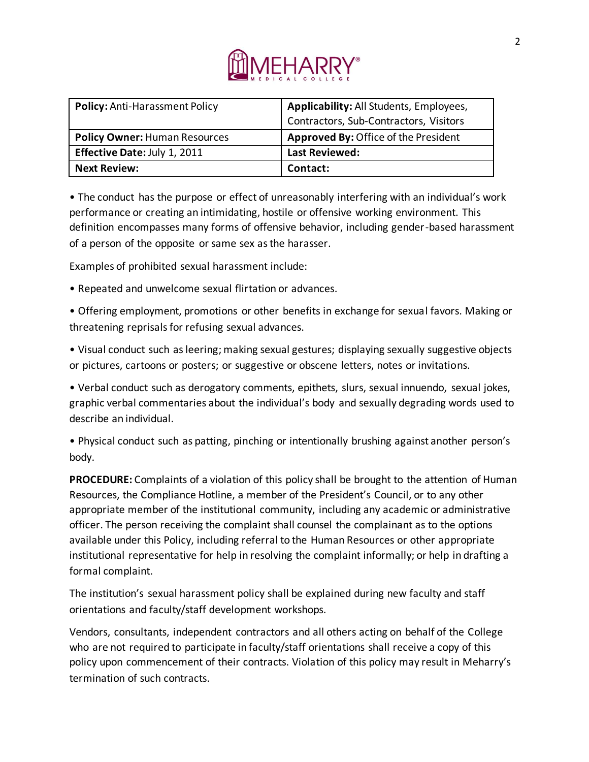

| <b>Policy: Anti-Harassment Policy</b> | Applicability: All Students, Employees, |
|---------------------------------------|-----------------------------------------|
|                                       | Contractors, Sub-Contractors, Visitors  |
| <b>Policy Owner: Human Resources</b>  | Approved By: Office of the President    |
| Effective Date: July 1, 2011          | <b>Last Reviewed:</b>                   |
| <b>Next Review:</b>                   | Contact:                                |

• The conduct has the purpose or effect of unreasonably interfering with an individual's work performance or creating an intimidating, hostile or offensive working environment. This definition encompasses many forms of offensive behavior, including gender-based harassment of a person of the opposite or same sex as the harasser.

Examples of prohibited sexual harassment include:

• Repeated and unwelcome sexual flirtation or advances.

• Offering employment, promotions or other benefits in exchange for sexual favors. Making or threatening reprisals for refusing sexual advances.

• Visual conduct such as leering; making sexual gestures; displaying sexually suggestive objects or pictures, cartoons or posters; or suggestive or obscene letters, notes or invitations.

• Verbal conduct such as derogatory comments, epithets, slurs, sexual innuendo, sexual jokes, graphic verbal commentaries about the individual's body and sexually degrading words used to describe an individual.

• Physical conduct such as patting, pinching or intentionally brushing against another person's body.

**PROCEDURE:** Complaints of a violation of this policy shall be brought to the attention of Human Resources, the Compliance Hotline, a member of the President's Council, or to any other appropriate member of the institutional community, including any academic or administrative officer. The person receiving the complaint shall counsel the complainant as to the options available under this Policy, including referral to the Human Resources or other appropriate institutional representative for help in resolving the complaint informally; or help in drafting a formal complaint.

The institution's sexual harassment policy shall be explained during new faculty and staff orientations and faculty/staff development workshops.

Vendors, consultants, independent contractors and all others acting on behalf of the College who are not required to participate in faculty/staff orientations shall receive a copy of this policy upon commencement of their contracts. Violation of this policy may result in Meharry's termination of such contracts.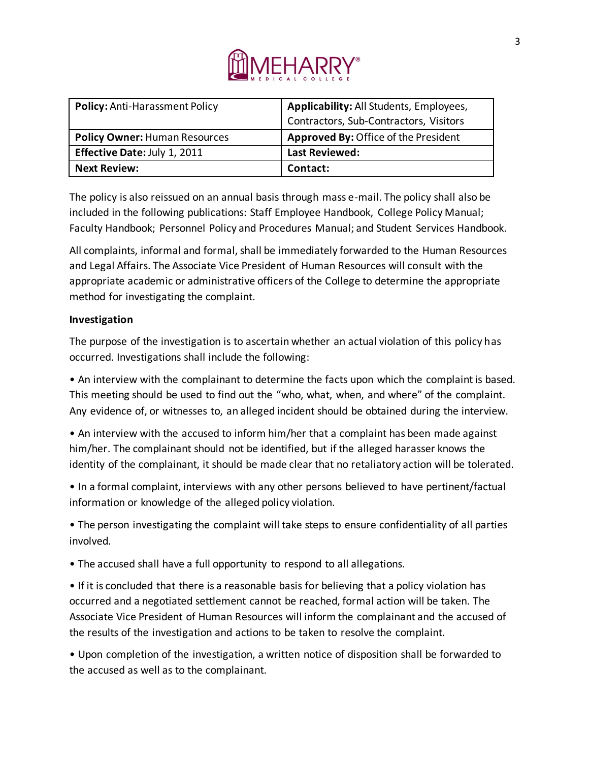

| <b>Policy: Anti-Harassment Policy</b> | Applicability: All Students, Employees,     |
|---------------------------------------|---------------------------------------------|
|                                       | Contractors, Sub-Contractors, Visitors      |
| <b>Policy Owner: Human Resources</b>  | <b>Approved By: Office of the President</b> |
| Effective Date: July 1, 2011          | <b>Last Reviewed:</b>                       |
| <b>Next Review:</b>                   | Contact:                                    |

The policy is also reissued on an annual basis through mass e-mail. The policy shall also be included in the following publications: Staff Employee Handbook, College Policy Manual; Faculty Handbook; Personnel Policy and Procedures Manual; and Student Services Handbook.

All complaints, informal and formal, shall be immediately forwarded to the Human Resources and Legal Affairs. The Associate Vice President of Human Resources will consult with the appropriate academic or administrative officers of the College to determine the appropriate method for investigating the complaint.

# **Investigation**

The purpose of the investigation is to ascertain whether an actual violation of this policy has occurred. Investigations shall include the following:

• An interview with the complainant to determine the facts upon which the complaint is based. This meeting should be used to find out the "who, what, when, and where" of the complaint. Any evidence of, or witnesses to, an alleged incident should be obtained during the interview.

• An interview with the accused to inform him/her that a complaint has been made against him/her. The complainant should not be identified, but if the alleged harasser knows the identity of the complainant, it should be made clear that no retaliatory action will be tolerated.

• In a formal complaint, interviews with any other persons believed to have pertinent/factual information or knowledge of the alleged policy violation.

• The person investigating the complaint will take steps to ensure confidentiality of all parties involved.

• The accused shall have a full opportunity to respond to all allegations.

• If it is concluded that there is a reasonable basis for believing that a policy violation has occurred and a negotiated settlement cannot be reached, formal action will be taken. The Associate Vice President of Human Resources will inform the complainant and the accused of the results of the investigation and actions to be taken to resolve the complaint.

• Upon completion of the investigation, a written notice of disposition shall be forwarded to the accused as well as to the complainant.